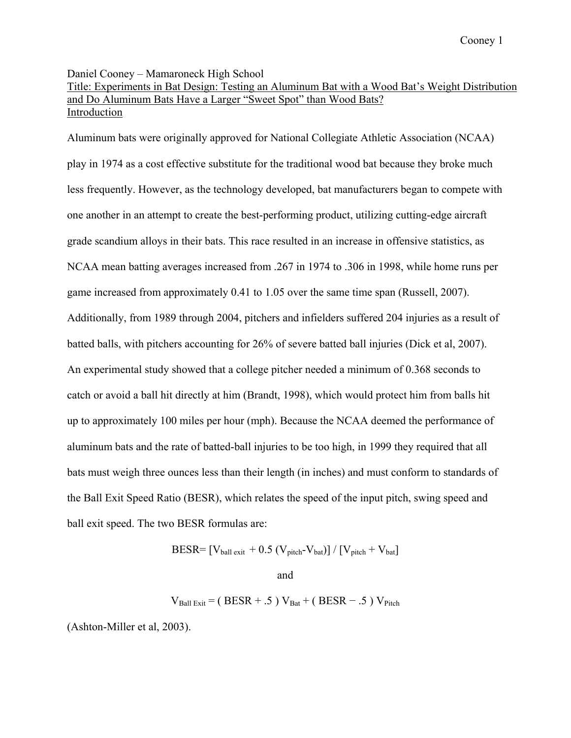Daniel Cooney – Mamaroneck High School

# Title: Experiments in Bat Design: Testing an Aluminum Bat with a Wood Bat's Weight Distribution and Do Aluminum Bats Have a Larger "Sweet Spot" than Wood Bats? Introduction

Aluminum bats were originally approved for National Collegiate Athletic Association (NCAA) play in 1974 as a cost effective substitute for the traditional wood bat because they broke much less frequently. However, as the technology developed, bat manufacturers began to compete with one another in an attempt to create the best-performing product, utilizing cutting-edge aircraft grade scandium alloys in their bats. This race resulted in an increase in offensive statistics, as NCAA mean batting averages increased from .267 in 1974 to .306 in 1998, while home runs per game increased from approximately 0.41 to 1.05 over the same time span (Russell, 2007). Additionally, from 1989 through 2004, pitchers and infielders suffered 204 injuries as a result of batted balls, with pitchers accounting for 26% of severe batted ball injuries (Dick et al, 2007). An experimental study showed that a college pitcher needed a minimum of 0.368 seconds to catch or avoid a ball hit directly at him (Brandt, 1998), which would protect him from balls hit up to approximately 100 miles per hour (mph). Because the NCAA deemed the performance of aluminum bats and the rate of batted-ball injuries to be too high, in 1999 they required that all bats must weigh three ounces less than their length (in inches) and must conform to standards of the Ball Exit Speed Ratio (BESR), which relates the speed of the input pitch, swing speed and ball exit speed. The two BESR formulas are:

$$
BESR = \left[ V_{ball\;exit} + 0.5\; (V_{pitch} - V_{bat}) \right] / \left[ V_{pitch} + V_{bat} \right]
$$

and

 $V_{\text{Ball Ext}}$  = (BESR + .5)  $V_{\text{Bat}}$  + (BESR - .5)  $V_{\text{Pitch}}$ 

(Ashton-Miller et al, 2003).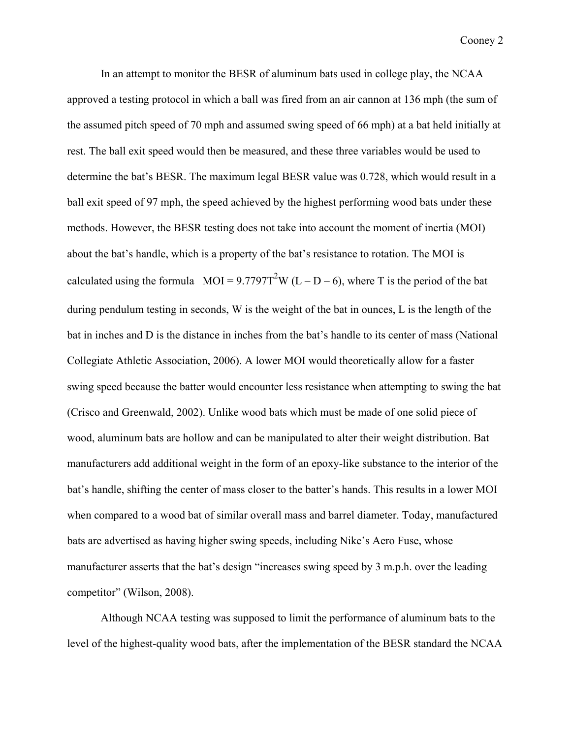In an attempt to monitor the BESR of aluminum bats used in college play, the NCAA approved a testing protocol in which a ball was fired from an air cannon at 136 mph (the sum of the assumed pitch speed of 70 mph and assumed swing speed of 66 mph) at a bat held initially at rest. The ball exit speed would then be measured, and these three variables would be used to determine the bat's BESR. The maximum legal BESR value was 0.728, which would result in a ball exit speed of 97 mph, the speed achieved by the highest performing wood bats under these methods. However, the BESR testing does not take into account the moment of inertia (MOI) about the bat's handle, which is a property of the bat's resistance to rotation. The MOI is calculated using the formula MOI =  $9.7797T^2W(L - D - 6)$ , where T is the period of the bat during pendulum testing in seconds, W is the weight of the bat in ounces, L is the length of the bat in inches and D is the distance in inches from the bat's handle to its center of mass (National Collegiate Athletic Association, 2006). A lower MOI would theoretically allow for a faster swing speed because the batter would encounter less resistance when attempting to swing the bat (Crisco and Greenwald, 2002). Unlike wood bats which must be made of one solid piece of wood, aluminum bats are hollow and can be manipulated to alter their weight distribution. Bat manufacturers add additional weight in the form of an epoxy-like substance to the interior of the bat's handle, shifting the center of mass closer to the batter's hands. This results in a lower MOI when compared to a wood bat of similar overall mass and barrel diameter. Today, manufactured bats are advertised as having higher swing speeds, including Nike's Aero Fuse, whose manufacturer asserts that the bat's design "increases swing speed by 3 m.p.h. over the leading competitor" (Wilson, 2008).

Although NCAA testing was supposed to limit the performance of aluminum bats to the level of the highest-quality wood bats, after the implementation of the BESR standard the NCAA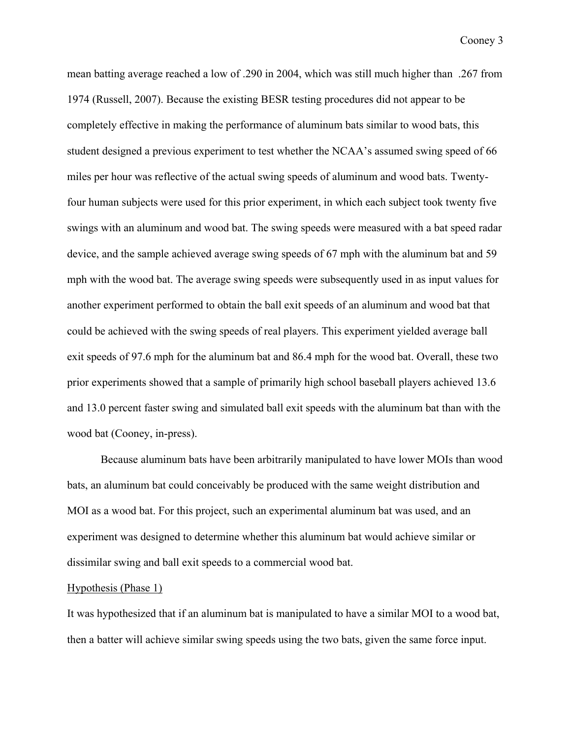mean batting average reached a low of .290 in 2004, which was still much higher than .267 from 1974 (Russell, 2007). Because the existing BESR testing procedures did not appear to be completely effective in making the performance of aluminum bats similar to wood bats, this student designed a previous experiment to test whether the NCAA's assumed swing speed of 66 miles per hour was reflective of the actual swing speeds of aluminum and wood bats. Twentyfour human subjects were used for this prior experiment, in which each subject took twenty five swings with an aluminum and wood bat. The swing speeds were measured with a bat speed radar device, and the sample achieved average swing speeds of 67 mph with the aluminum bat and 59 mph with the wood bat. The average swing speeds were subsequently used in as input values for another experiment performed to obtain the ball exit speeds of an aluminum and wood bat that could be achieved with the swing speeds of real players. This experiment yielded average ball exit speeds of 97.6 mph for the aluminum bat and 86.4 mph for the wood bat. Overall, these two prior experiments showed that a sample of primarily high school baseball players achieved 13.6 and 13.0 percent faster swing and simulated ball exit speeds with the aluminum bat than with the wood bat (Cooney, in-press).

Because aluminum bats have been arbitrarily manipulated to have lower MOIs than wood bats, an aluminum bat could conceivably be produced with the same weight distribution and MOI as a wood bat. For this project, such an experimental aluminum bat was used, and an experiment was designed to determine whether this aluminum bat would achieve similar or dissimilar swing and ball exit speeds to a commercial wood bat.

### Hypothesis (Phase 1)

It was hypothesized that if an aluminum bat is manipulated to have a similar MOI to a wood bat, then a batter will achieve similar swing speeds using the two bats, given the same force input.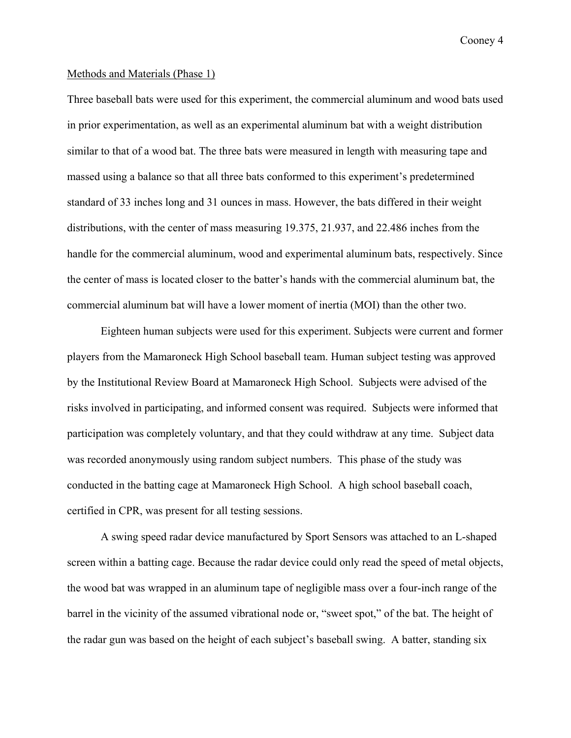### Methods and Materials (Phase 1)

Three baseball bats were used for this experiment, the commercial aluminum and wood bats used in prior experimentation, as well as an experimental aluminum bat with a weight distribution similar to that of a wood bat. The three bats were measured in length with measuring tape and massed using a balance so that all three bats conformed to this experiment's predetermined standard of 33 inches long and 31 ounces in mass. However, the bats differed in their weight distributions, with the center of mass measuring 19.375, 21.937, and 22.486 inches from the handle for the commercial aluminum, wood and experimental aluminum bats, respectively. Since the center of mass is located closer to the batter's hands with the commercial aluminum bat, the commercial aluminum bat will have a lower moment of inertia (MOI) than the other two.

Eighteen human subjects were used for this experiment. Subjects were current and former players from the Mamaroneck High School baseball team. Human subject testing was approved by the Institutional Review Board at Mamaroneck High School. Subjects were advised of the risks involved in participating, and informed consent was required. Subjects were informed that participation was completely voluntary, and that they could withdraw at any time. Subject data was recorded anonymously using random subject numbers. This phase of the study was conducted in the batting cage at Mamaroneck High School. A high school baseball coach, certified in CPR, was present for all testing sessions.

A swing speed radar device manufactured by Sport Sensors was attached to an L-shaped screen within a batting cage. Because the radar device could only read the speed of metal objects, the wood bat was wrapped in an aluminum tape of negligible mass over a four-inch range of the barrel in the vicinity of the assumed vibrational node or, "sweet spot," of the bat. The height of the radar gun was based on the height of each subject's baseball swing. A batter, standing six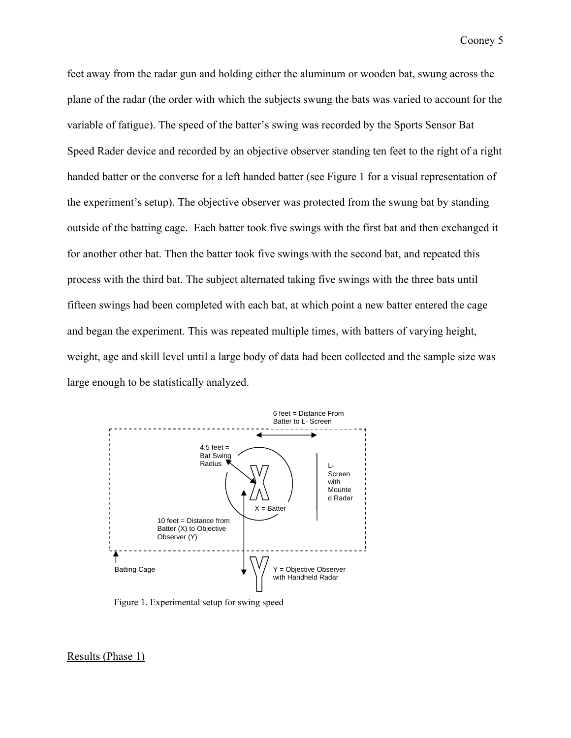feet away from the radar gun and holding either the aluminum or wooden bat, swung across the plane of the radar (the order with which the subjects swung the bats was varied to account for the variable of fatigue). The speed of the batter's swing was recorded by the Sports Sensor Bat Speed Rader device and recorded by an objective observer standing ten feet to the right of a right handed batter or the converse for a left handed batter (see Figure 1 for a visual representation of the experiment's setup). The objective observer was protected from the swung bat by standing outside of the batting cage. Each batter took five swings with the first bat and then exchanged it for another other bat. Then the batter took five swings with the second bat, and repeated this process with the third bat. The subject alternated taking five swings with the three bats until fifteen swings had been completed with each bat, at which point a new batter entered the cage and began the experiment. This was repeated multiple times, with batters of varying height, weight, age and skill level until a large body of data had been collected and the sample size was large enough to be statistically analyzed.



Figure 1. Experimental setup for swing speed

Results (Phase 1)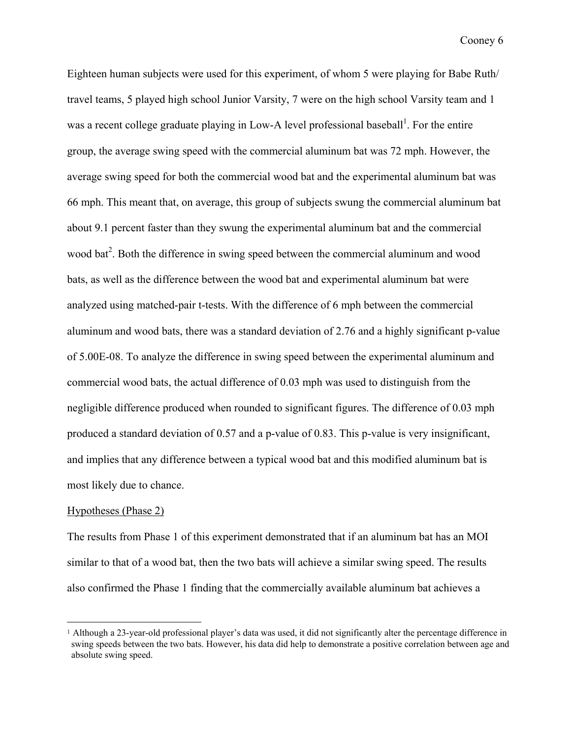Eighteen human subjects were used for this experiment, of whom 5 were playing for Babe Ruth/ travel teams, 5 played high school Junior Varsity, 7 were on the high school Varsity team and 1 was a recent college graduate playing in Low-A level professional baseball<sup>1</sup>. For the entire group, the average swing speed with the commercial aluminum bat was 72 mph. However, the average swing speed for both the commercial wood bat and the experimental aluminum bat was 66 mph. This meant that, on average, this group of subjects swung the commercial aluminum bat about 9.1 percent faster than they swung the experimental aluminum bat and the commercial wood bat<sup>2</sup>. Both the difference in swing speed between the commercial aluminum and wood bats, as well as the difference between the wood bat and experimental aluminum bat were analyzed using matched-pair t-tests. With the difference of 6 mph between the commercial aluminum and wood bats, there was a standard deviation of 2.76 and a highly significant p-value of 5.00E-08. To analyze the difference in swing speed between the experimental aluminum and commercial wood bats, the actual difference of 0.03 mph was used to distinguish from the negligible difference produced when rounded to significant figures. The difference of 0.03 mph produced a standard deviation of 0.57 and a p-value of 0.83. This p-value is very insignificant, and implies that any difference between a typical wood bat and this modified aluminum bat is most likely due to chance.

### Hypotheses (Phase 2)

1

The results from Phase 1 of this experiment demonstrated that if an aluminum bat has an MOI similar to that of a wood bat, then the two bats will achieve a similar swing speed. The results also confirmed the Phase 1 finding that the commercially available aluminum bat achieves a

<sup>1</sup> Although a 23-year-old professional player's data was used, it did not significantly alter the percentage difference in swing speeds between the two bats. However, his data did help to demonstrate a positive correlation between age and absolute swing speed.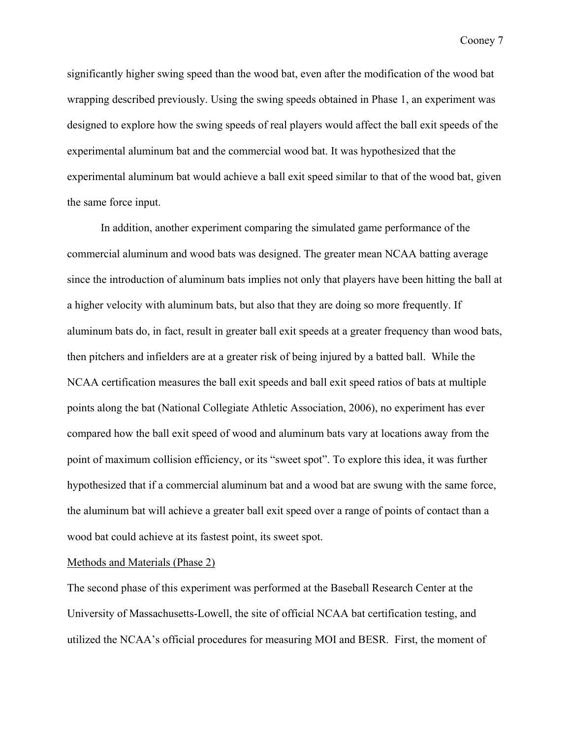significantly higher swing speed than the wood bat, even after the modification of the wood bat wrapping described previously. Using the swing speeds obtained in Phase 1, an experiment was designed to explore how the swing speeds of real players would affect the ball exit speeds of the experimental aluminum bat and the commercial wood bat. It was hypothesized that the experimental aluminum bat would achieve a ball exit speed similar to that of the wood bat, given the same force input.

In addition, another experiment comparing the simulated game performance of the commercial aluminum and wood bats was designed. The greater mean NCAA batting average since the introduction of aluminum bats implies not only that players have been hitting the ball at a higher velocity with aluminum bats, but also that they are doing so more frequently. If aluminum bats do, in fact, result in greater ball exit speeds at a greater frequency than wood bats, then pitchers and infielders are at a greater risk of being injured by a batted ball. While the NCAA certification measures the ball exit speeds and ball exit speed ratios of bats at multiple points along the bat (National Collegiate Athletic Association, 2006), no experiment has ever compared how the ball exit speed of wood and aluminum bats vary at locations away from the point of maximum collision efficiency, or its "sweet spot". To explore this idea, it was further hypothesized that if a commercial aluminum bat and a wood bat are swung with the same force, the aluminum bat will achieve a greater ball exit speed over a range of points of contact than a wood bat could achieve at its fastest point, its sweet spot.

### Methods and Materials (Phase 2)

The second phase of this experiment was performed at the Baseball Research Center at the University of Massachusetts-Lowell, the site of official NCAA bat certification testing, and utilized the NCAA's official procedures for measuring MOI and BESR. First, the moment of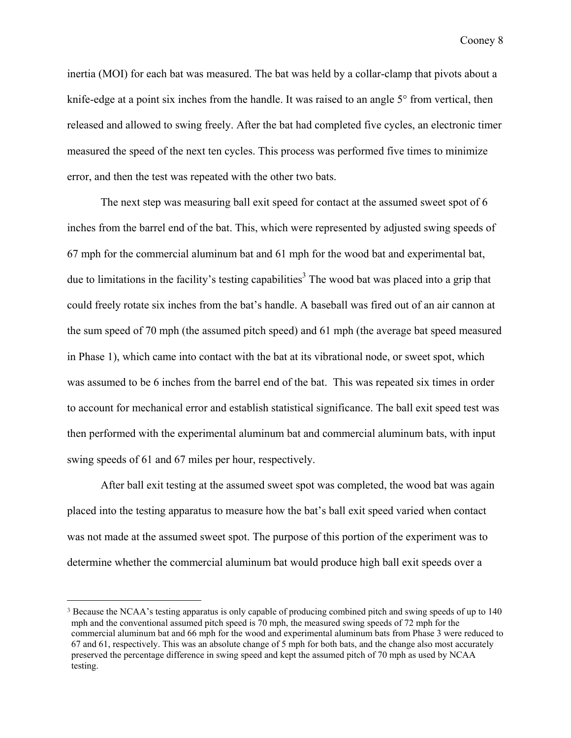inertia (MOI) for each bat was measured. The bat was held by a collar-clamp that pivots about a knife-edge at a point six inches from the handle. It was raised to an angle 5° from vertical, then released and allowed to swing freely. After the bat had completed five cycles, an electronic timer measured the speed of the next ten cycles. This process was performed five times to minimize error, and then the test was repeated with the other two bats.

The next step was measuring ball exit speed for contact at the assumed sweet spot of 6 inches from the barrel end of the bat. This, which were represented by adjusted swing speeds of 67 mph for the commercial aluminum bat and 61 mph for the wood bat and experimental bat, due to limitations in the facility's testing capabilities<sup>3</sup> The wood bat was placed into a grip that could freely rotate six inches from the bat's handle. A baseball was fired out of an air cannon at the sum speed of 70 mph (the assumed pitch speed) and 61 mph (the average bat speed measured in Phase 1), which came into contact with the bat at its vibrational node, or sweet spot, which was assumed to be 6 inches from the barrel end of the bat. This was repeated six times in order to account for mechanical error and establish statistical significance. The ball exit speed test was then performed with the experimental aluminum bat and commercial aluminum bats, with input swing speeds of 61 and 67 miles per hour, respectively.

After ball exit testing at the assumed sweet spot was completed, the wood bat was again placed into the testing apparatus to measure how the bat's ball exit speed varied when contact was not made at the assumed sweet spot. The purpose of this portion of the experiment was to determine whether the commercial aluminum bat would produce high ball exit speeds over a

1

<sup>&</sup>lt;sup>3</sup> Because the NCAA's testing apparatus is only capable of producing combined pitch and swing speeds of up to 140 mph and the conventional assumed pitch speed is 70 mph, the measured swing speeds of 72 mph for the commercial aluminum bat and 66 mph for the wood and experimental aluminum bats from Phase 3 were reduced to 67 and 61, respectively. This was an absolute change of 5 mph for both bats, and the change also most accurately preserved the percentage difference in swing speed and kept the assumed pitch of 70 mph as used by NCAA testing.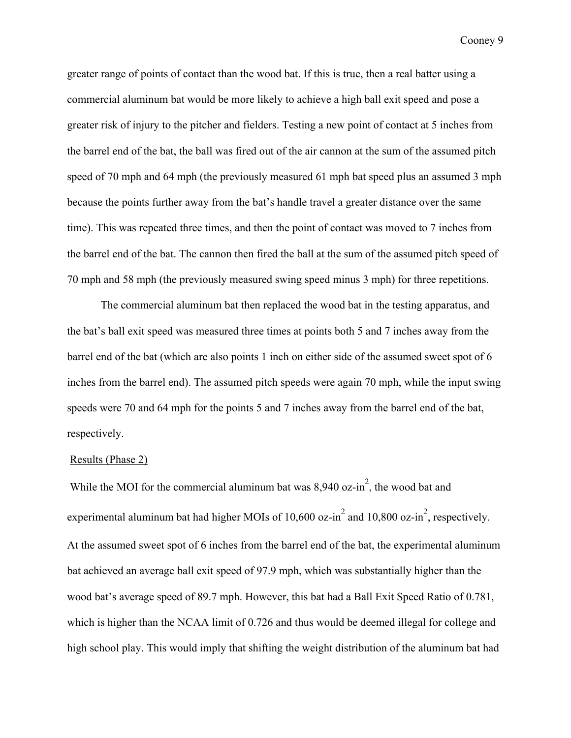greater range of points of contact than the wood bat. If this is true, then a real batter using a commercial aluminum bat would be more likely to achieve a high ball exit speed and pose a greater risk of injury to the pitcher and fielders. Testing a new point of contact at 5 inches from the barrel end of the bat, the ball was fired out of the air cannon at the sum of the assumed pitch speed of 70 mph and 64 mph (the previously measured 61 mph bat speed plus an assumed 3 mph because the points further away from the bat's handle travel a greater distance over the same time). This was repeated three times, and then the point of contact was moved to 7 inches from the barrel end of the bat. The cannon then fired the ball at the sum of the assumed pitch speed of 70 mph and 58 mph (the previously measured swing speed minus 3 mph) for three repetitions.

The commercial aluminum bat then replaced the wood bat in the testing apparatus, and the bat's ball exit speed was measured three times at points both 5 and 7 inches away from the barrel end of the bat (which are also points 1 inch on either side of the assumed sweet spot of 6 inches from the barrel end). The assumed pitch speeds were again 70 mph, while the input swing speeds were 70 and 64 mph for the points 5 and 7 inches away from the barrel end of the bat, respectively.

#### Results (Phase 2)

While the MOI for the commercial aluminum bat was  $8,940$  oz-in<sup>2</sup>, the wood bat and experimental aluminum bat had higher MOIs of 10,600 oz-in<sup>2</sup> and 10,800 oz-in<sup>2</sup>, respectively. At the assumed sweet spot of 6 inches from the barrel end of the bat, the experimental aluminum bat achieved an average ball exit speed of 97.9 mph, which was substantially higher than the wood bat's average speed of 89.7 mph. However, this bat had a Ball Exit Speed Ratio of 0.781, which is higher than the NCAA limit of 0.726 and thus would be deemed illegal for college and high school play. This would imply that shifting the weight distribution of the aluminum bat had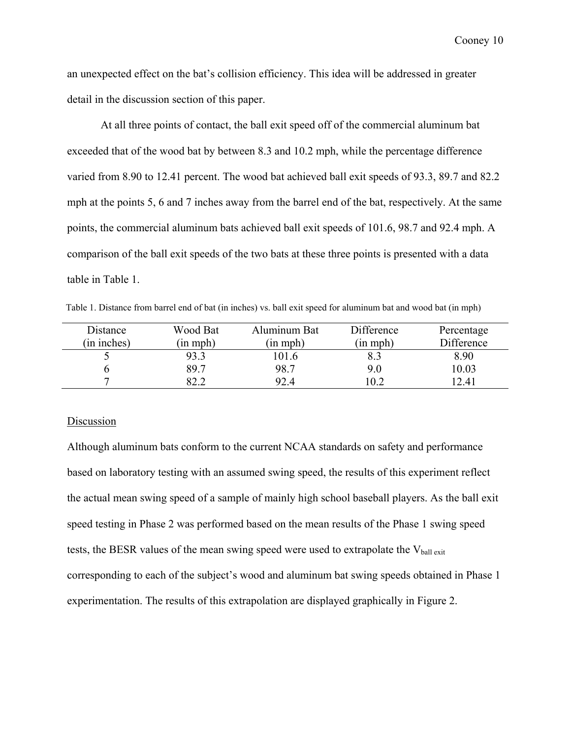an unexpected effect on the bat's collision efficiency. This idea will be addressed in greater detail in the discussion section of this paper.

At all three points of contact, the ball exit speed off of the commercial aluminum bat exceeded that of the wood bat by between 8.3 and 10.2 mph, while the percentage difference varied from 8.90 to 12.41 percent. The wood bat achieved ball exit speeds of 93.3, 89.7 and 82.2 mph at the points 5, 6 and 7 inches away from the barrel end of the bat, respectively. At the same points, the commercial aluminum bats achieved ball exit speeds of 101.6, 98.7 and 92.4 mph. A comparison of the ball exit speeds of the two bats at these three points is presented with a data table in Table 1.

Table 1. Distance from barrel end of bat (in inches) vs. ball exit speed for aluminum bat and wood bat (in mph)

| Distance    | Wood Bat | Aluminum Bat       | Difference         | Percentage |
|-------------|----------|--------------------|--------------------|------------|
| (in inches) | (in mph) | $(in \text{ mph})$ | $(in \text{ mph})$ | Difference |
|             | 93.3     | 01.6               | 8.3                | 8.90       |
|             | 89.7     | 98.7               | 9.0                | 10.03      |
| −           | 82.2     | 92.4               | 10.2               | 12.41      |

# Discussion

Although aluminum bats conform to the current NCAA standards on safety and performance based on laboratory testing with an assumed swing speed, the results of this experiment reflect the actual mean swing speed of a sample of mainly high school baseball players. As the ball exit speed testing in Phase 2 was performed based on the mean results of the Phase 1 swing speed tests, the BESR values of the mean swing speed were used to extrapolate the  $V_{\text{ball exit}}$ corresponding to each of the subject's wood and aluminum bat swing speeds obtained in Phase 1 experimentation. The results of this extrapolation are displayed graphically in Figure 2.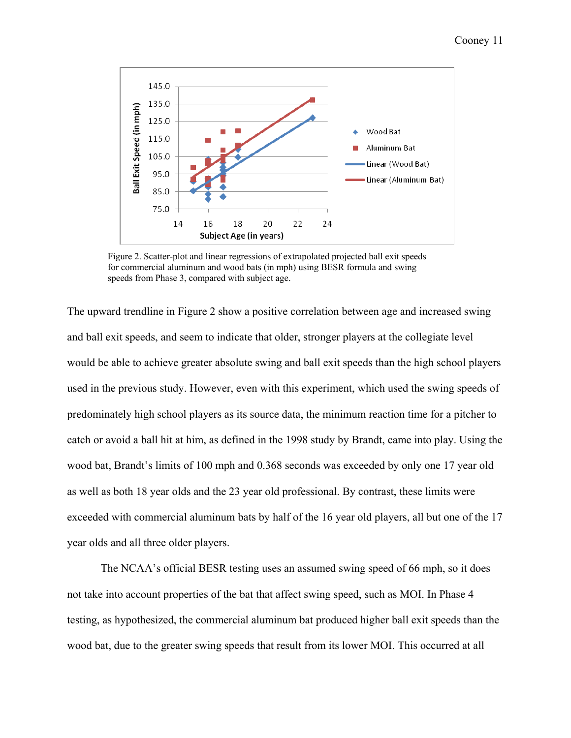

Figure 2. Scatter-plot and linear regressions of extrapolated projected ball exit speeds for commercial aluminum and wood bats (in mph) using BESR formula and swing speeds from Phase 3, compared with subject age.

The upward trendline in Figure 2 show a positive correlation between age and increased swing and ball exit speeds, and seem to indicate that older, stronger players at the collegiate level would be able to achieve greater absolute swing and ball exit speeds than the high school players used in the previous study. However, even with this experiment, which used the swing speeds of predominately high school players as its source data, the minimum reaction time for a pitcher to catch or avoid a ball hit at him, as defined in the 1998 study by Brandt, came into play. Using the wood bat, Brandt's limits of 100 mph and 0.368 seconds was exceeded by only one 17 year old as well as both 18 year olds and the 23 year old professional. By contrast, these limits were exceeded with commercial aluminum bats by half of the 16 year old players, all but one of the 17 year olds and all three older players.

The NCAA's official BESR testing uses an assumed swing speed of 66 mph, so it does not take into account properties of the bat that affect swing speed, such as MOI. In Phase 4 testing, as hypothesized, the commercial aluminum bat produced higher ball exit speeds than the wood bat, due to the greater swing speeds that result from its lower MOI. This occurred at all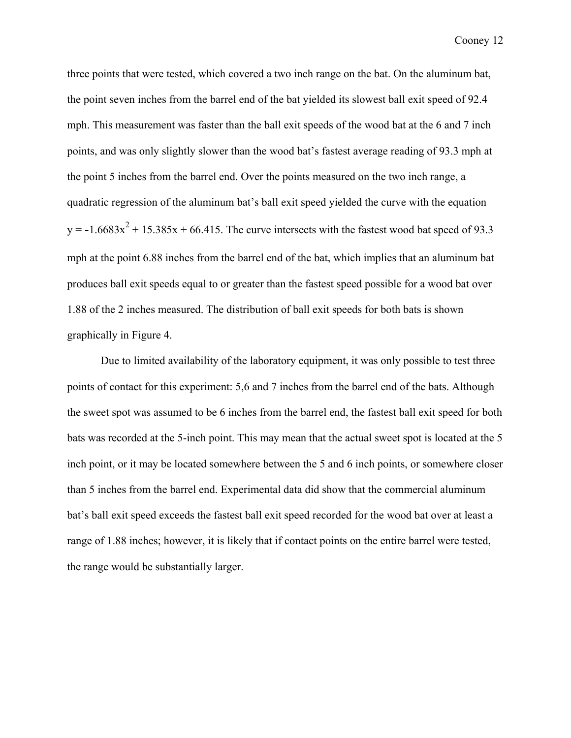three points that were tested, which covered a two inch range on the bat. On the aluminum bat, the point seven inches from the barrel end of the bat yielded its slowest ball exit speed of 92.4 mph. This measurement was faster than the ball exit speeds of the wood bat at the 6 and 7 inch points, and was only slightly slower than the wood bat's fastest average reading of 93.3 mph at the point 5 inches from the barrel end. Over the points measured on the two inch range, a quadratic regression of the aluminum bat's ball exit speed yielded the curve with the equation y = -1.6683 $x^2$  + 15.385x + 66.415. The curve intersects with the fastest wood bat speed of 93.3 mph at the point 6.88 inches from the barrel end of the bat, which implies that an aluminum bat produces ball exit speeds equal to or greater than the fastest speed possible for a wood bat over 1.88 of the 2 inches measured. The distribution of ball exit speeds for both bats is shown graphically in Figure 4.

Due to limited availability of the laboratory equipment, it was only possible to test three points of contact for this experiment: 5,6 and 7 inches from the barrel end of the bats. Although the sweet spot was assumed to be 6 inches from the barrel end, the fastest ball exit speed for both bats was recorded at the 5-inch point. This may mean that the actual sweet spot is located at the 5 inch point, or it may be located somewhere between the 5 and 6 inch points, or somewhere closer than 5 inches from the barrel end. Experimental data did show that the commercial aluminum bat's ball exit speed exceeds the fastest ball exit speed recorded for the wood bat over at least a range of 1.88 inches; however, it is likely that if contact points on the entire barrel were tested, the range would be substantially larger.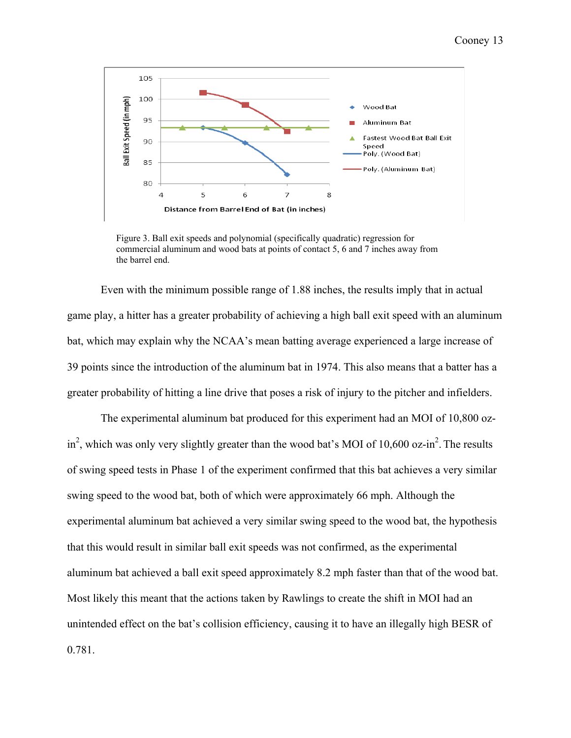

Figure 3. Ball exit speeds and polynomial (specifically quadratic) regression for commercial aluminum and wood bats at points of contact 5, 6 and 7 inches away from the barrel end.

Even with the minimum possible range of 1.88 inches, the results imply that in actual game play, a hitter has a greater probability of achieving a high ball exit speed with an aluminum bat, which may explain why the NCAA's mean batting average experienced a large increase of 39 points since the introduction of the aluminum bat in 1974. This also means that a batter has a greater probability of hitting a line drive that poses a risk of injury to the pitcher and infielders.

The experimental aluminum bat produced for this experiment had an MOI of 10,800 ozin<sup>2</sup>, which was only very slightly greater than the wood bat's MOI of 10,600 oz-in<sup>2</sup>. The results of swing speed tests in Phase 1 of the experiment confirmed that this bat achieves a very similar swing speed to the wood bat, both of which were approximately 66 mph. Although the experimental aluminum bat achieved a very similar swing speed to the wood bat, the hypothesis that this would result in similar ball exit speeds was not confirmed, as the experimental aluminum bat achieved a ball exit speed approximately 8.2 mph faster than that of the wood bat. Most likely this meant that the actions taken by Rawlings to create the shift in MOI had an unintended effect on the bat's collision efficiency, causing it to have an illegally high BESR of 0.781.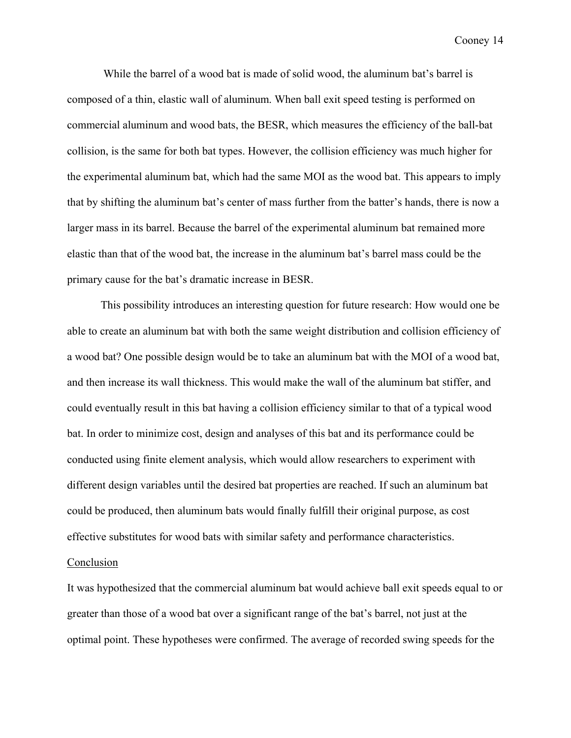While the barrel of a wood bat is made of solid wood, the aluminum bat's barrel is composed of a thin, elastic wall of aluminum. When ball exit speed testing is performed on commercial aluminum and wood bats, the BESR, which measures the efficiency of the ball-bat collision, is the same for both bat types. However, the collision efficiency was much higher for the experimental aluminum bat, which had the same MOI as the wood bat. This appears to imply that by shifting the aluminum bat's center of mass further from the batter's hands, there is now a larger mass in its barrel. Because the barrel of the experimental aluminum bat remained more elastic than that of the wood bat, the increase in the aluminum bat's barrel mass could be the primary cause for the bat's dramatic increase in BESR.

This possibility introduces an interesting question for future research: How would one be able to create an aluminum bat with both the same weight distribution and collision efficiency of a wood bat? One possible design would be to take an aluminum bat with the MOI of a wood bat, and then increase its wall thickness. This would make the wall of the aluminum bat stiffer, and could eventually result in this bat having a collision efficiency similar to that of a typical wood bat. In order to minimize cost, design and analyses of this bat and its performance could be conducted using finite element analysis, which would allow researchers to experiment with different design variables until the desired bat properties are reached. If such an aluminum bat could be produced, then aluminum bats would finally fulfill their original purpose, as cost effective substitutes for wood bats with similar safety and performance characteristics.

## Conclusion

It was hypothesized that the commercial aluminum bat would achieve ball exit speeds equal to or greater than those of a wood bat over a significant range of the bat's barrel, not just at the optimal point. These hypotheses were confirmed. The average of recorded swing speeds for the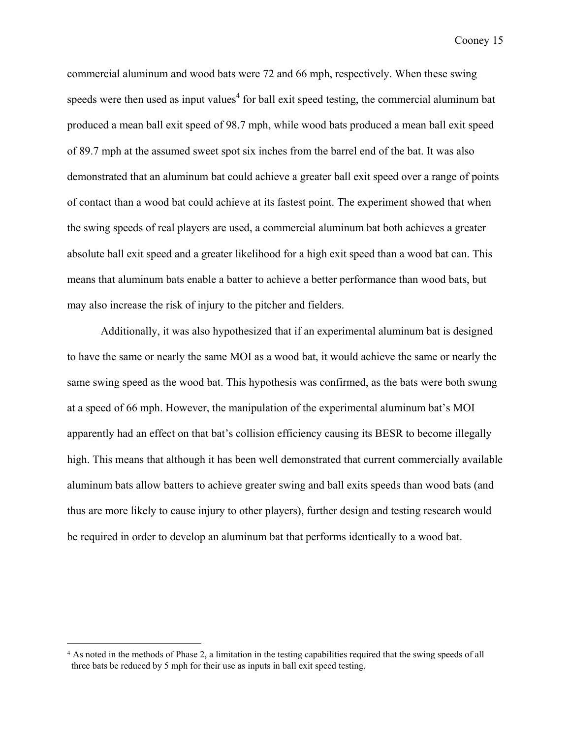commercial aluminum and wood bats were 72 and 66 mph, respectively. When these swing speeds were then used as input values<sup>4</sup> for ball exit speed testing, the commercial aluminum bat produced a mean ball exit speed of 98.7 mph, while wood bats produced a mean ball exit speed of 89.7 mph at the assumed sweet spot six inches from the barrel end of the bat. It was also demonstrated that an aluminum bat could achieve a greater ball exit speed over a range of points of contact than a wood bat could achieve at its fastest point. The experiment showed that when the swing speeds of real players are used, a commercial aluminum bat both achieves a greater absolute ball exit speed and a greater likelihood for a high exit speed than a wood bat can. This means that aluminum bats enable a batter to achieve a better performance than wood bats, but may also increase the risk of injury to the pitcher and fielders.

 Additionally, it was also hypothesized that if an experimental aluminum bat is designed to have the same or nearly the same MOI as a wood bat, it would achieve the same or nearly the same swing speed as the wood bat. This hypothesis was confirmed, as the bats were both swung at a speed of 66 mph. However, the manipulation of the experimental aluminum bat's MOI apparently had an effect on that bat's collision efficiency causing its BESR to become illegally high. This means that although it has been well demonstrated that current commercially available aluminum bats allow batters to achieve greater swing and ball exits speeds than wood bats (and thus are more likely to cause injury to other players), further design and testing research would be required in order to develop an aluminum bat that performs identically to a wood bat.

<u>.</u>

<sup>4</sup> As noted in the methods of Phase 2, a limitation in the testing capabilities required that the swing speeds of all three bats be reduced by 5 mph for their use as inputs in ball exit speed testing.